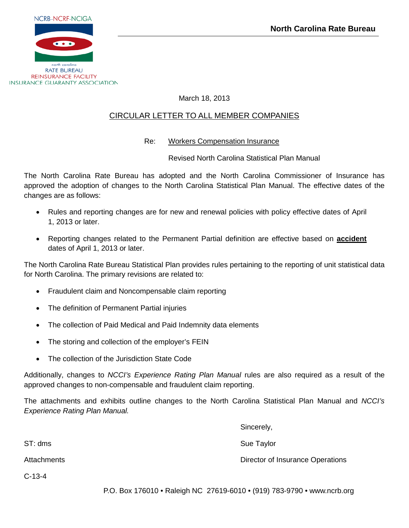

REINSURANCE FACILITY **INSURANCE GUARANTY ASSOCIATION** 

## March 18, 2013

# CIRCULAR LETTER TO ALL MEMBER COMPANIES

## Re: Workers Compensation Insurance

Revised North Carolina Statistical Plan Manual

The North Carolina Rate Bureau has adopted and the North Carolina Commissioner of Insurance has approved the adoption of changes to the North Carolina Statistical Plan Manual. The effective dates of the changes are as follows:

- Rules and reporting changes are for new and renewal policies with policy effective dates of April 1, 2013 or later.
- Reporting changes related to the Permanent Partial definition are effective based on **accident** dates of April 1, 2013 or later.

The North Carolina Rate Bureau Statistical Plan provides rules pertaining to the reporting of unit statistical data for North Carolina. The primary revisions are related to:

- Fraudulent claim and Noncompensable claim reporting
- The definition of Permanent Partial injuries
- The collection of Paid Medical and Paid Indemnity data elements
- The storing and collection of the employer's FEIN
- The collection of the Jurisdiction State Code

Additionally, changes to *NCCI's Experience Rating Plan Manual* rules are also required as a result of the approved changes to non-compensable and fraudulent claim reporting.

The attachments and exhibits outline changes to the North Carolina Statistical Plan Manual and *NCCI's Experience Rating Plan Manual.*

ST: dms Sue Taylor Structure of the Sue Taylor Sue Taylor

Attachments Director of Insurance Operations

C-13-4

P.O. Box 176010 • Raleigh NC 27619-6010 • (919) 783-9790 • www.ncrb.org

Sincerely,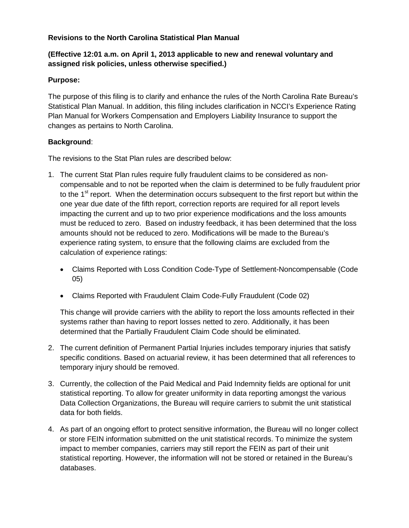## **Revisions to the North Carolina Statistical Plan Manual**

## **(Effective 12:01 a.m. on April 1, 2013 applicable to new and renewal voluntary and assigned risk policies, unless otherwise specified.)**

## **Purpose:**

The purpose of this filing is to clarify and enhance the rules of the North Carolina Rate Bureau's Statistical Plan Manual. In addition, this filing includes clarification in NCCI's Experience Rating Plan Manual for Workers Compensation and Employers Liability Insurance to support the changes as pertains to North Carolina.

## **Background**:

The revisions to the Stat Plan rules are described below:

- 1. The current Stat Plan rules require fully fraudulent claims to be considered as noncompensable and to not be reported when the claim is determined to be fully fraudulent prior to the  $1<sup>st</sup>$  report. When the determination occurs subsequent to the first report but within the one year due date of the fifth report, correction reports are required for all report levels impacting the current and up to two prior experience modifications and the loss amounts must be reduced to zero. Based on industry feedback, it has been determined that the loss amounts should not be reduced to zero. Modifications will be made to the Bureau's experience rating system, to ensure that the following claims are excluded from the calculation of experience ratings:
	- Claims Reported with Loss Condition Code-Type of Settlement-Noncompensable (Code 05)
	- Claims Reported with Fraudulent Claim Code-Fully Fraudulent (Code 02)

This change will provide carriers with the ability to report the loss amounts reflected in their systems rather than having to report losses netted to zero. Additionally, it has been determined that the Partially Fraudulent Claim Code should be eliminated.

- 2. The current definition of Permanent Partial Injuries includes temporary injuries that satisfy specific conditions. Based on actuarial review, it has been determined that all references to temporary injury should be removed.
- 3. Currently, the collection of the Paid Medical and Paid Indemnity fields are optional for unit statistical reporting. To allow for greater uniformity in data reporting amongst the various Data Collection Organizations, the Bureau will require carriers to submit the unit statistical data for both fields.
- 4. As part of an ongoing effort to protect sensitive information, the Bureau will no longer collect or store FEIN information submitted on the unit statistical records. To minimize the system impact to member companies, carriers may still report the FEIN as part of their unit statistical reporting. However, the information will not be stored or retained in the Bureau's databases.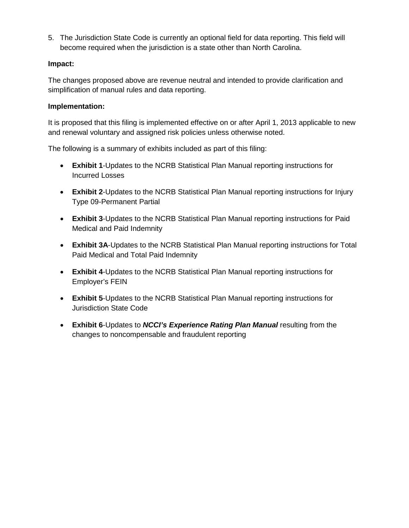5. The Jurisdiction State Code is currently an optional field for data reporting. This field will become required when the jurisdiction is a state other than North Carolina.

## **Impact:**

The changes proposed above are revenue neutral and intended to provide clarification and simplification of manual rules and data reporting.

## **Implementation:**

It is proposed that this filing is implemented effective on or after April 1, 2013 applicable to new and renewal voluntary and assigned risk policies unless otherwise noted.

The following is a summary of exhibits included as part of this filing:

- **Exhibit 1**-Updates to the NCRB Statistical Plan Manual reporting instructions for Incurred Losses
- **Exhibit 2**-Updates to the NCRB Statistical Plan Manual reporting instructions for Injury Type 09-Permanent Partial
- **Exhibit 3**-Updates to the NCRB Statistical Plan Manual reporting instructions for Paid Medical and Paid Indemnity
- **Exhibit 3A**-Updates to the NCRB Statistical Plan Manual reporting instructions for Total Paid Medical and Total Paid Indemnity
- **Exhibit 4**-Updates to the NCRB Statistical Plan Manual reporting instructions for Employer's FEIN
- **Exhibit 5**-Updates to the NCRB Statistical Plan Manual reporting instructions for Jurisdiction State Code
- **Exhibit 6**-Updates to *NCCI's Experience Rating Plan Manual* resulting from the changes to noncompensable and fraudulent reporting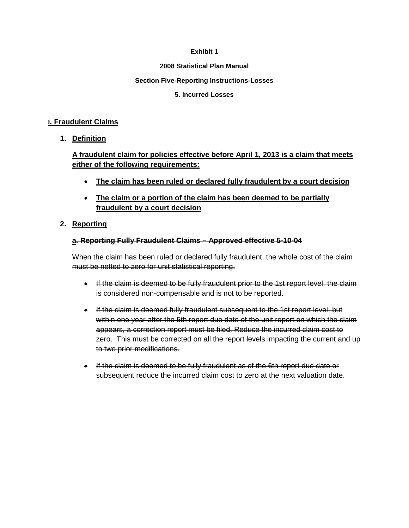### **2008 Statistical Plan Manual**

### **Section Five-Reporting Instructions-Losses**

### **5. Incurred Losses**

### **I. Fraudulent Claims**

## **1. Definition**

# **A fraudulent claim for policies effective before April 1, 2013 is a claim that meets either of the following requirements:**

- **The claim has been ruled or declared fully fraudulent by a court decision**
- **The claim or a portion of the claim has been deemed to be partially fraudulent by a court decision**

## **2. Reporting**

## **a. Reporting Fully Fraudulent Claims – Approved effective 5-10-04**

When the claim has been ruled or declared fully fraudulent, the whole cost of the claim must be netted to zero for unit statistical reporting.

- If the claim is deemed to be fully fraudulent prior to the 1st report level, the claim is considered non-compensable and is not to be reported.
- If the claim is deemed fully fraudulent subsequent to the 1st report level, but within one year after the 5th report due date of the unit report on which the claim appears, a correction report must be filed. Reduce the incurred claim cost to zero. This must be corrected on all the report levels impacting the current and up to two prior modifications.
- If the claim is deemed to be fully fraudulent as of the 6th report due date or subsequent reduce the incurred claim cost to zero at the next valuation date.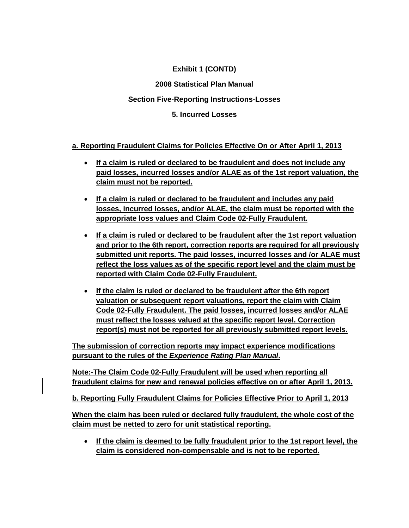**2008 Statistical Plan Manual**

# **Section Five-Reporting Instructions-Losses**

**5. Incurred Losses**

# **a. Reporting Fraudulent Claims for Policies Effective On or After April 1, 2013**

- **If a claim is ruled or declared to be fraudulent and does not include any paid losses, incurred losses and/or ALAE as of the 1st report valuation, the claim must not be reported.**
- **If a claim is ruled or declared to be fraudulent and includes any paid losses, incurred losses, and/or ALAE, the claim must be reported with the appropriate loss values and Claim Code 02-Fully Fraudulent.**
- **If a claim is ruled or declared to be fraudulent after the 1st report valuation and prior to the 6th report, correction reports are required for all previously submitted unit reports. The paid losses, incurred losses and /or ALAE must reflect the loss values as of the specific report level and the claim must be reported with Claim Code 02-Fully Fraudulent.**
- **If the claim is ruled or declared to be fraudulent after the 6th report valuation or subsequent report valuations, report the claim with Claim Code 02-Fully Fraudulent. The paid losses, incurred losses and/or ALAE must reflect the losses valued at the specific report level. Correction report(s) must not be reported for all previously submitted report levels.**

**The submission of correction reports may impact experience modifications pursuant to the rules of the** *Experience Rating Plan Manual***.** 

**Note:-The Claim Code 02-Fully Fraudulent will be used when reporting all fraudulent claims for new and renewal policies effective on or after April 1, 2013.**

**b. Reporting Fully Fraudulent Claims for Policies Effective Prior to April 1, 2013**

**When the claim has been ruled or declared fully fraudulent, the whole cost of the claim must be netted to zero for unit statistical reporting.**

• **If the claim is deemed to be fully fraudulent prior to the 1st report level, the claim is considered non-compensable and is not to be reported.**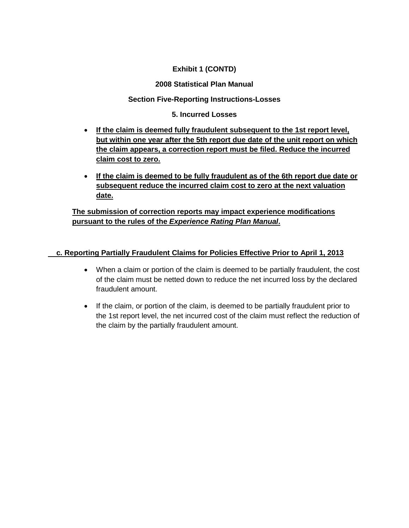## **2008 Statistical Plan Manual**

## **Section Five-Reporting Instructions-Losses**

## **5. Incurred Losses**

- **If the claim is deemed fully fraudulent subsequent to the 1st report level, but within one year after the 5th report due date of the unit report on which the claim appears, a correction report must be filed. Reduce the incurred claim cost to zero.**
- **If the claim is deemed to be fully fraudulent as of the 6th report due date or subsequent reduce the incurred claim cost to zero at the next valuation date.**

**The submission of correction reports may impact experience modifications pursuant to the rules of the** *Experience Rating Plan Manual***.** 

## **c. Reporting Partially Fraudulent Claims for Policies Effective Prior to April 1, 2013**

- When a claim or portion of the claim is deemed to be partially fraudulent, the cost of the claim must be netted down to reduce the net incurred loss by the declared fraudulent amount.
- If the claim, or portion of the claim, is deemed to be partially fraudulent prior to the 1st report level, the net incurred cost of the claim must reflect the reduction of the claim by the partially fraudulent amount.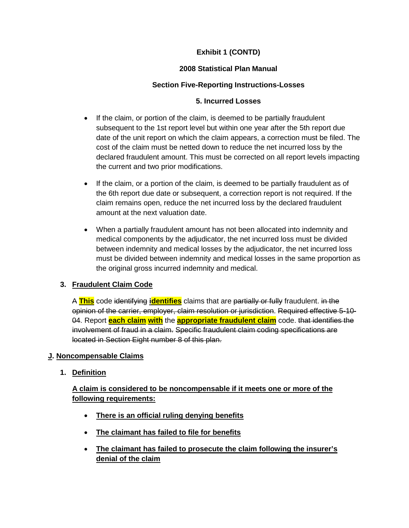# **2008 Statistical Plan Manual**

# **Section Five-Reporting Instructions-Losses**

## **5. Incurred Losses**

- If the claim, or portion of the claim, is deemed to be partially fraudulent subsequent to the 1st report level but within one year after the 5th report due date of the unit report on which the claim appears, a correction must be filed. The cost of the claim must be netted down to reduce the net incurred loss by the declared fraudulent amount. This must be corrected on all report levels impacting the current and two prior modifications.
- If the claim, or a portion of the claim, is deemed to be partially fraudulent as of the 6th report due date or subsequent, a correction report is not required. If the claim remains open, reduce the net incurred loss by the declared fraudulent amount at the next valuation date.
- When a partially fraudulent amount has not been allocated into indemnity and medical components by the adjudicator, the net incurred loss must be divided between indemnity and medical losses by the adjudicator, the net incurred loss must be divided between indemnity and medical losses in the same proportion as the original gross incurred indemnity and medical.

## **3. Fraudulent Claim Code**

A **This** code identifying **identifies** claims that are partially or fully fraudulent. in the opinion of the carrier, employer, claim resolution or jurisdiction. Required effective 5-10- 04. Report **each claim with** the **appropriate fraudulent claim** code. that identifies the involvement of fraud in a claim. Specific fraudulent claim coding specifications are located in Section Eight number 8 of this plan.

## **J. Noncompensable Claims**

**1. Definition**

# **A claim is considered to be noncompensable if it meets one or more of the following requirements:**

- **There is an official ruling denying benefits**
- **The claimant has failed to file for benefits**
- **The claimant has failed to prosecute the claim following the insurer's denial of the claim**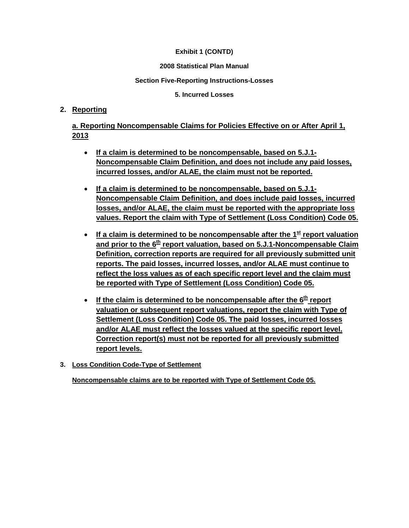### **2008 Statistical Plan Manual**

### **Section Five-Reporting Instructions-Losses**

**5. Incurred Losses**

## **2. Reporting**

**a. Reporting Noncompensable Claims for Policies Effective on or After April 1, 2013**

- **If a claim is determined to be noncompensable, based on 5.J.1- Noncompensable Claim Definition, and does not include any paid losses, incurred losses, and/or ALAE, the claim must not be reported.**
- **If a claim is determined to be noncompensable, based on 5.J.1- Noncompensable Claim Definition, and does include paid losses, incurred losses, and/or ALAE, the claim must be reported with the appropriate loss values. Report the claim with Type of Settlement (Loss Condition) Code 05.**
- If a claim is determined to be noncompensable after the 1<sup>st</sup> report valuation and prior to the 6<sup>th</sup> report valuation, based on 5.J.1-Noncompensable Claim **Definition, correction reports are required for all previously submitted unit reports. The paid losses, incurred losses, and/or ALAE must continue to reflect the loss values as of each specific report level and the claim must be reported with Type of Settlement (Loss Condition) Code 05.**
- If the claim is determined to be noncompensable after the  $6<sup>th</sup>$  report **valuation or subsequent report valuations, report the claim with Type of Settlement (Loss Condition) Code 05. The paid losses, incurred losses and/or ALAE must reflect the losses valued at the specific report level. Correction report(s) must not be reported for all previously submitted report levels.**
- **3. Loss Condition Code-Type of Settlement**

**Noncompensable claims are to be reported with Type of Settlement Code 05.**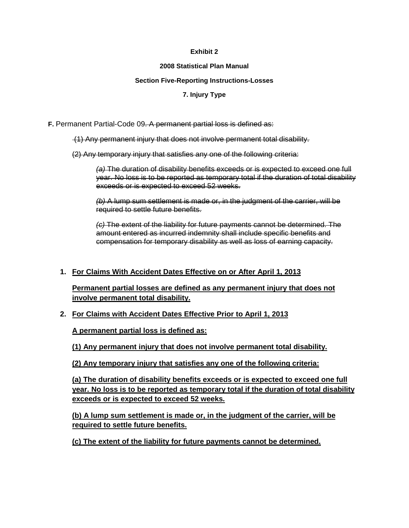#### **2008 Statistical Plan Manual**

#### **Section Five-Reporting Instructions-Losses**

### **7. Injury Type**

### **F.** Permanent Partial-Code 09. A permanent partial loss is defined as:

(1) Any permanent injury that does not involve permanent total disability.

(2) Any temporary injury that satisfies any one of the following criteria:

*(a)* The duration of disability benefits exceeds or is expected to exceed one full year. No loss is to be reported as temporary total if the duration of total disability exceeds or is expected to exceed 52 weeks.

*(b)* A lump sum settlement is made or, in the judgment of the carrier, will be required to settle future benefits.

*(c)* The extent of the liability for future payments cannot be determined. The amount entered as incurred indemnity shall include specific benefits and compensation for temporary disability as well as loss of earning capacity.

## **1. For Claims With Accident Dates Effective on or After April 1, 2013**

**Permanent partial losses are defined as any permanent injury that does not involve permanent total disability.**

## **2. For Claims with Accident Dates Effective Prior to April 1, 2013**

**A permanent partial loss is defined as:**

**(1) Any permanent injury that does not involve permanent total disability.**

**(2) Any temporary injury that satisfies any one of the following criteria:**

**(a) The duration of disability benefits exceeds or is expected to exceed one full year. No loss is to be reported as temporary total if the duration of total disability exceeds or is expected to exceed 52 weeks.**

**(b) A lump sum settlement is made or, in the judgment of the carrier, will be required to settle future benefits.**

**(c) The extent of the liability for future payments cannot be determined.**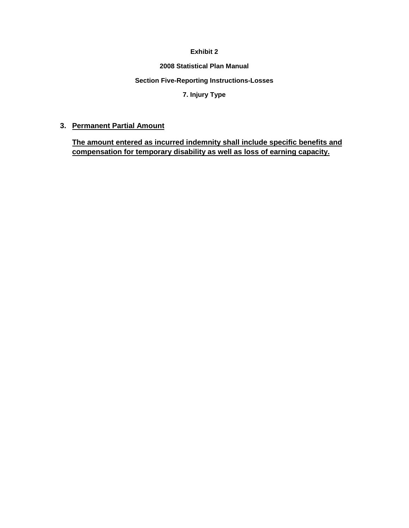#### **2008 Statistical Plan Manual**

#### **Section Five-Reporting Instructions-Losses**

## **7. Injury Type**

## **3. Permanent Partial Amount**

**The amount entered as incurred indemnity shall include specific benefits and compensation for temporary disability as well as loss of earning capacity.**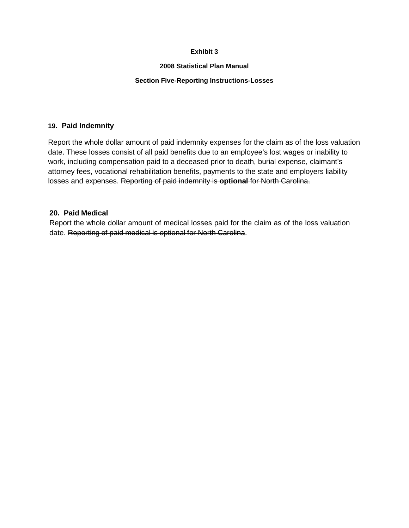#### **2008 Statistical Plan Manual**

### **Section Five-Reporting Instructions-Losses**

### **19. Paid Indemnity**

Report the whole dollar amount of paid indemnity expenses for the claim as of the loss valuation date. These losses consist of all paid benefits due to an employee's lost wages or inability to work, including compensation paid to a deceased prior to death, burial expense, claimant's attorney fees, vocational rehabilitation benefits, payments to the state and employers liability losses and expenses. Reporting of paid indemnity is **optional** for North Carolina.

## **20. Paid Medical**

Report the whole dollar amount of medical losses paid for the claim as of the loss valuation date. Reporting of paid medical is optional for North Carolina.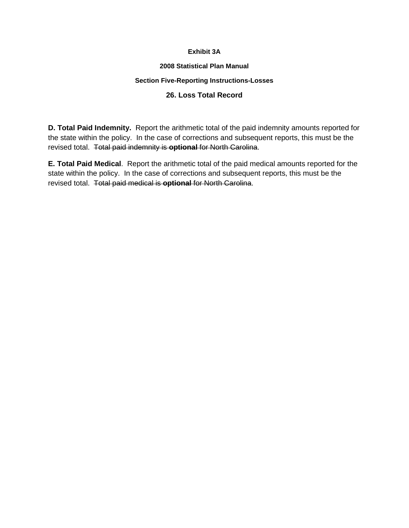### **Exhibit 3A**

### **2008 Statistical Plan Manual**

## **Section Five-Reporting Instructions-Losses**

## **26. Loss Total Record**

**D. Total Paid Indemnity.** Report the arithmetic total of the paid indemnity amounts reported for the state within the policy. In the case of corrections and subsequent reports, this must be the revised total. Total paid indemnity is **optional** for North Carolina.

**E. Total Paid Medical**. Report the arithmetic total of the paid medical amounts reported for the state within the policy. In the case of corrections and subsequent reports, this must be the revised total. Total paid medical is **optional** for North Carolina.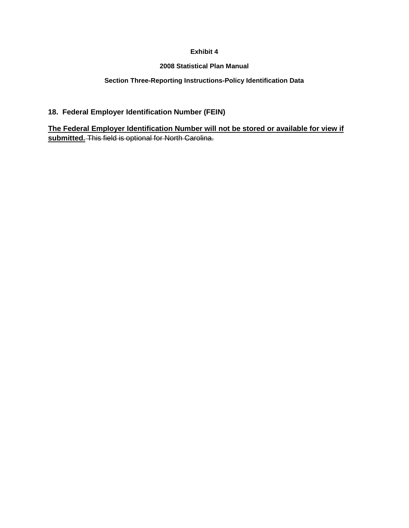### **2008 Statistical Plan Manual**

### **Section Three-Reporting Instructions-Policy Identification Data**

## **18. Federal Employer Identification Number (FEIN)**

**The Federal Employer Identification Number will not be stored or available for view if submitted.** This field is optional for North Carolina.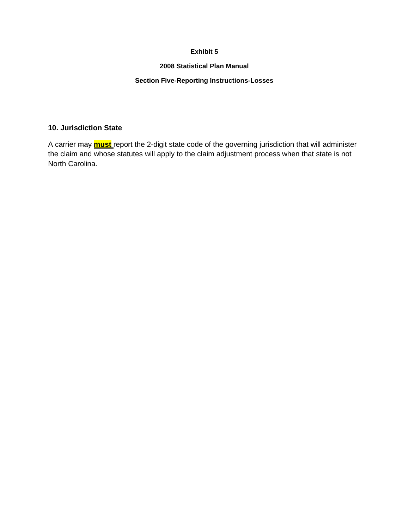#### **2008 Statistical Plan Manual**

### **Section Five-Reporting Instructions-Losses**

### **10. Jurisdiction State**

A carrier may **must** report the 2-digit state code of the governing jurisdiction that will administer the claim and whose statutes will apply to the claim adjustment process when that state is not North Carolina.